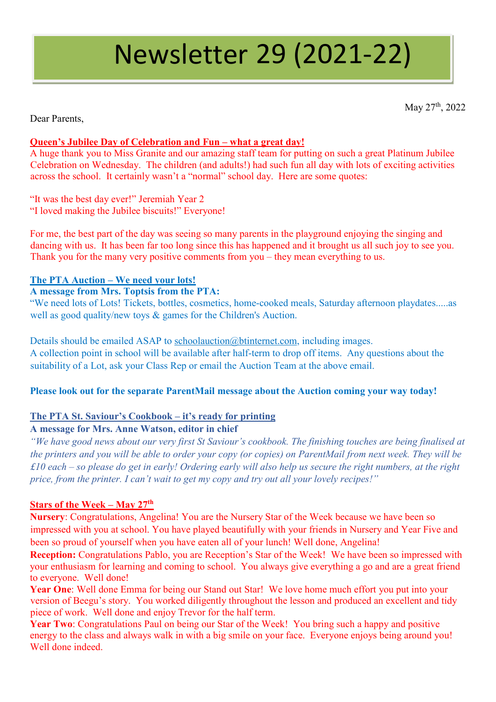# Newsletter 29 (2021-22)

May 27<sup>th</sup>, 2022

Dear Parents,

# **Queen's Jubilee Day of Celebration and Fun – what a great day!**

A huge thank you to Miss Granite and our amazing staff team for putting on such a great Platinum Jubilee Celebration on Wednesday. The children (and adults!) had such fun all day with lots of exciting activities across the school. It certainly wasn't a "normal" school day. Here are some quotes:

"It was the best day ever!" Jeremiah Year 2 "I loved making the Jubilee biscuits!" Everyone!

For me, the best part of the day was seeing so many parents in the playground enjoying the singing and dancing with us. It has been far too long since this has happened and it brought us all such joy to see you. Thank you for the many very positive comments from you – they mean everything to us.

# **The PTA Auction – We need your lots!**

## **A message from Mrs. Toptsis from the PTA:**

"We need lots of Lots! Tickets, bottles, cosmetics, home-cooked meals, Saturday afternoon playdates.....as well as good quality/new toys & games for the Children's Auction.

Details should be emailed ASAP to [schoolauction@btinternet.com,](mailto:schoolauction@btinternet.com) including images. A collection point in school will be available after half-term to drop off items. Any questions about the suitability of a Lot, ask your Class Rep or email the Auction Team at the above email.

## **Please look out for the separate ParentMail message about the Auction coming your way today!**

## **The PTA St. Saviour's Cookbook – it's ready for printing**

## **A message for Mrs. Anne Watson, editor in chief**

*"We have good news about our very first St Saviour's cookbook. The finishing touches are being finalised at the printers and you will be able to order your copy (or copies) on ParentMail from next week. They will be £10 each – so please do get in early! Ordering early will also help us secure the right numbers, at the right price, from the printer. I can't wait to get my copy and try out all your lovely recipes!"*

## **Stars of the Week – May 27th**

**Nursery**: Congratulations, Angelina! You are the Nursery Star of the Week because we have been so impressed with you at school. You have played beautifully with your friends in Nursery and Year Five and been so proud of yourself when you have eaten all of your lunch! Well done, Angelina!

**Reception:** Congratulations Pablo, you are Reception's Star of the Week! We have been so impressed with your enthusiasm for learning and coming to school. You always give everything a go and are a great friend to everyone. Well done!

**Year One**: Well done Emma for being our Stand out Star! We love home much effort you put into your version of Beegu's story. You worked diligently throughout the lesson and produced an excellent and tidy piece of work. Well done and enjoy Trevor for the half term.

Year Two: Congratulations Paul on being our Star of the Week! You bring such a happy and positive energy to the class and always walk in with a big smile on your face. Everyone enjoys being around you! Well done indeed.